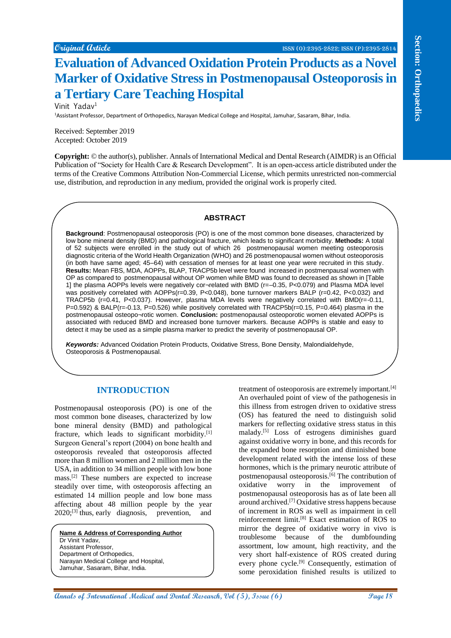# **Evaluation of Advanced Oxidation Protein Products as a Novel Marker of Oxidative Stress in Postmenopausal Osteoporosis in a Tertiary Care Teaching Hospital**

Vinit Yadav<sup>1</sup>

<sup>1</sup>Assistant Professor, Department of Orthopedics, Narayan Medical College and Hospital, Jamuhar, Sasaram, Bihar, India.

Received: September 2019 Accepted: October 2019

**Copyright:** © the author(s), publisher. Annals of International Medical and Dental Research (AIMDR) is an Official Publication of "Society for Health Care & Research Development". It is an open-access article distributed under the terms of the Creative Commons Attribution Non-Commercial License, which permits unrestricted non-commercial use, distribution, and reproduction in any medium, provided the original work is properly cited.

### **ABSTRACT**

**EVALUATION CONTRATION CONTRATION CONTRATION CONTRATION CONTRATION CONTRATION CONTRATION CONTRATION CONTRATION CONTRATION CONTRATION CONTRATION CONTRATION CONTRATION CONTRATION CONTRATION CONTRATION CONTRATION CONTRATION Background**: Postmenopausal osteoporosis (PO) is one of the most common bone diseases, characterized by low bone mineral density (BMD) and pathological fracture, which leads to significant morbidity. **Methods:** A total of 52 subjects were enrolled in the study out of which 26 postmenopausal women meeting osteoporosis diagnostic criteria of the World Health Organization (WHO) and 26 postmenopausal women without osteoporosis (in both have same aged; 45–64) with cessation of menses for at least one year were recruited in this study. **Results:** Mean FBS, MDA, AOPPs, BLAP, TRACP5b level were found increased in postmenpausal women with OP as compared to postmenopausal without OP women while BMD was found to decreased as shown in [Table 1] the plasma AOPPs levels were negatively cor¬related with BMD (r=–0.35, P<0.079) and Plasma MDA level was positively correlated with AOPPs(r=0.39, P<0.048), bone turnover markers BALP (r=0.42, P<0.032) and TRACP5b (r=0.41, P<0.037). However, plasma MDA levels were negatively correlated with BMD(r=-0.11, P=0.592) & BALP(r=-0.13, P=0.526) while positively correlated with TRACP5b(r=0.15, P=0.464) plasma in the postmenopausal osteopo¬rotic women. **Conclusion:** postmenopausal osteoporotic women elevated AOPPs is associated with reduced BMD and increased bone turnover markers. Because AOPPs is stable and easy to detect it may be used as a simple plasma marker to predict the severity of postmenopausal OP.

*Keywords:* Advanced Oxidation Protein Products, Oxidative Stress, Bone Density, Malondialdehyde, Osteoporosis & Postmenopausal.

## **INTRODUCTION**

Postmenopausal osteoporosis (PO) is one of the most common bone diseases, characterized by low bone mineral density (BMD) and pathological fracture, which leads to significant morbidity.[1] Surgeon General's report (2004) on bone health and osteoporosis revealed that osteoporosis affected more than 8 million women and 2 million men in the USA, in addition to 34 million people with low bone mass.[2] These numbers are expected to increase steadily over time, with osteoporosis affecting an estimated 14 million people and low bone mass affecting about 48 million people by the year  $2020$ ;<sup>[3]</sup> thus, early diagnosis, prevention, and

**Name & Address of Corresponding Author** Dr Vinit Yadav, Assistant Professor, Department of Orthopedics, Narayan Medical College and Hospital, Jamuhar, Sasaram, Bihar, India.

treatment of osteoporosis are extremely important.<sup>[4]</sup> An overhauled point of view of the pathogenesis in this illness from estrogen driven to oxidative stress (OS) has featured the need to distinguish solid markers for reflecting oxidative stress status in this malady.[5] Loss of estrogens diminishes guard against oxidative worry in bone, and this records for the expanded bone resorption and diminished bone development related with the intense loss of these hormones, which is the primary neurotic attribute of postmenopausal osteoporosis.<sup>[6]</sup> The contribution of oxidative worry in the improvement of postmenopausal osteoporosis has as of late been all around archived.[7] Oxidative stress happens because of increment in ROS as well as impairment in cell reinforcement limit.[8] Exact estimation of ROS to mirror the degree of oxidative worry in vivo is troublesome because of the dumbfounding assortment, low amount, high reactivity, and the very short half-existence of ROS created during every phone cycle.<sup>[9]</sup> Consequently, estimation of some peroxidation finished results is utilized to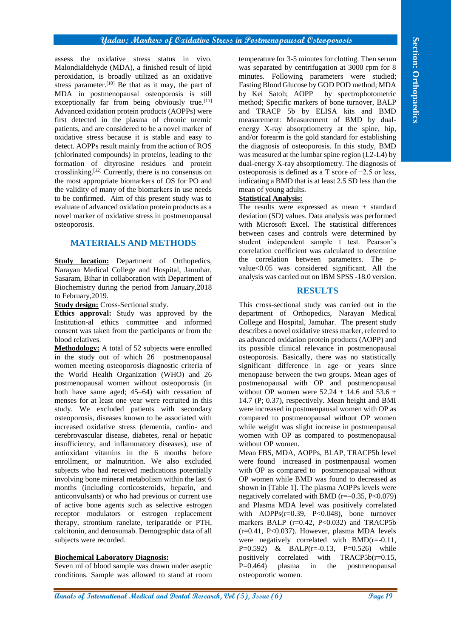## **Yadav; Markers of Oxidative Stress in Postmenopausal Osteoporosis**

assess the oxidative stress status in vivo. Malondialdehyde (MDA), a finished result of lipid peroxidation, is broadly utilized as an oxidative stress parameter.<sup>[10]</sup> Be that as it may, the part of MDA in postmenopausal osteoporosis is still exceptionally far from being obviously true.<sup>[11]</sup> Advanced oxidation protein products (AOPPs) were first detected in the plasma of chronic uremic patients, and are considered to be a novel marker of oxidative stress because it is stable and easy to detect. AOPPs result mainly from the action of ROS (chlorinated compounds) in proteins, leading to the formation of dityrosine residues and protein crosslinking.[12] Currently, there is no consensus on the most appropriate biomarkers of OS for PO and the validity of many of the biomarkers in use needs to be confirmed. Aim of this present study was to evaluate of advanced oxidation protein products as a novel marker of oxidative stress in postmenopausal osteoporosis.

# **MATERIALS AND METHODS**

**Study location:** Department of Orthopedics, Narayan Medical College and Hospital, Jamuhar, Sasaram, Bihar in collaboration with Department of Biochemistry during the period from January,2018 to February,2019.

**Study design:** Cross-Sectional study.

**Ethics approval:** Study was approved by the Institution-al ethics committee and informed consent was taken from the participants or from the blood relatives.

**Annals of the control international Medical and Dental Annals of Company and Dental Annals of Company and Dental Annals of the Company and Dental Research (Company and Dental Research (Company and Dental Research (Compan Methodology:** A total of 52 subjects were enrolled in the study out of which 26 postmenopausal women meeting osteoporosis diagnostic criteria of the World Health Organization (WHO) and 26 postmenopausal women without osteoporosis (in both have same aged; 45–64) with cessation of menses for at least one year were recruited in this study. We excluded patients with secondary osteoporosis, diseases known to be associated with increased oxidative stress (dementia, cardio- and cerebrovascular disease, diabetes, renal or hepatic insufficiency, and inflammatory diseases), use of antioxidant vitamins in the 6 months before enrollment, or malnutrition. We also excluded subjects who had received medications potentially involving bone mineral metabolism within the last 6 months (including corticosteroids, heparin, and anticonvulsants) or who had previous or current use of active bone agents such as selective estrogen receptor modulators or estrogen replacement therapy, strontium ranelate, teriparatide or PTH, calcitonin, and denosumab. Demographic data of all subjects were recorded.

### **Biochemical Laboratory Diagnosis:**

Seven ml of blood sample was drawn under aseptic conditions. Sample was allowed to stand at room temperature for 3-5 minutes for clotting. Then serum was separated by centrifugation at 3000 rpm for 8 minutes. Following parameters were studied; Fasting Blood Glucose by GOD POD method; MDA by Kei Satoh; AOPP by spectrophotometric method; Specific markers of bone turnover, BALP and TRACP 5b by ELISA kits and BMD measurement: Measurement of BMD by dualenergy X-ray absorptiometry at the spine, hip, and/or forearm is the gold standard for establishing the diagnosis of osteoporosis. In this study, BMD was measured at the lumbar spine region (L2-L4) by dual-energy X-ray absorptiometry. The diagnosis of osteoporosis is defined as a T score of −2.5 or less, indicating a BMD that is at least 2.5 SD less than the mean of young adults.

## **Statistical Analysis:**

The results were expressed as mean  $\pm$  standard deviation (SD) values. Data analysis was performed with Microsoft Excel. The statistical differences between cases and controls were determined by student independent sample t test. Pearson's correlation coefficient was calculated to determine the correlation between parameters. The pvalue $<0.05$  was considered significant. All the analysis was carried out on IBM SPSS -18.0 version.

# **RESULTS**

This cross-sectional study was carried out in the department of Orthopedics, Narayan Medical College and Hospital, Jamuhar. The present study describes a novel oxidative stress marker, referred to as advanced oxidation protein products (AOPP) and its possible clinical relevance in postmenopausal osteoporosis. Basically, there was no statistically significant difference in age or years since menopause between the two groups. Mean ages of postmenopausal with OP and postmenopausal without OP women were  $52.24 \pm 14.6$  and  $53.6 \pm 14.6$ 14.7 (P; 0.37), respectively. Mean height and BMI were increased in postmenpausal women with OP as compared to postmenopausal without OP women while weight was slight increase in postmenpausal women with OP as compared to postmenopausal without OP women.

Mean FBS, MDA, AOPPs, BLAP, TRACP5b level were found increased in postmenpausal women with OP as compared to postmenopausal without OP women while BMD was found to decreased as shown in [Table 1]. The plasma AOPPs levels were negatively correlated with BMD ( $r=-0.35$ ,  $P<0.079$ ) and Plasma MDA level was positively correlated with  $AOPPs(r=0.39, P<0.048)$ , bone turnover markers BALP ( $r=0.42$ ,  $P<0.032$ ) and TRACP5b  $(r=0.41, P<0.037)$ . However, plasma MDA levels were negatively correlated with BMD(r=-0.11, P=0.592) & BALP(r=-0.13, P=0.526) while positively correlated with TRACP5b(r=0.15, P=0.464) plasma in the postmenopausal osteoporotic women.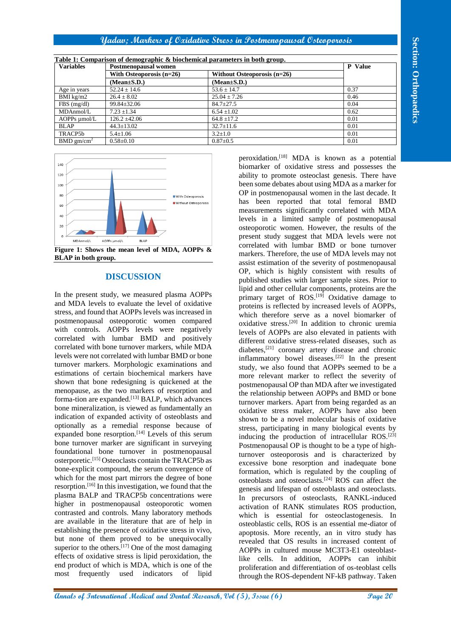# **Yadav; Markers of Oxidative Stress in Postmenopausal Osteoporosis**

| <b>Variables</b>         | Table 1: Comparison of demographic & biochemical parameters in both group.<br>Postmenopausal women |                               | <b>P</b> Value |
|--------------------------|----------------------------------------------------------------------------------------------------|-------------------------------|----------------|
|                          | With Osteoporosis $(n=26)$                                                                         | Without Osteoporosis $(n=26)$ |                |
|                          | $(Mean \pm S.D.)$                                                                                  | $(Mean \pm S.D.)$             |                |
| Age in years             | $52.24 \pm 14.6$                                                                                   | $53.6 \pm 14.7$               | 0.37           |
| BMI $kg/m2$              | $26.4 \pm 8.02$                                                                                    | $25.04 + 7.26$                | 0.46           |
| $FBS$ (mg/dl)            | $99.84 \pm 32.06$                                                                                  | $84.7 \pm 27.5$               | 0.04           |
| MDAnmol/L                | $7.23 \pm 1.34$                                                                                    | $6.54 \pm 1.02$               | 0.62           |
| $AOPPs \mu mol/L$        | $126.2 \pm 42.06$                                                                                  | $64.8 \pm 17.2$               | 0.01           |
| <b>BLAP</b>              | $44.3 \pm 13.02$                                                                                   | $32.7 \pm 11.6$               | 0.01           |
| TRACP5b                  | $5.4 \pm 1.06$                                                                                     | $3.2 \pm 1.0$                 | 0.01           |
| $BMD$ gm/cm <sup>2</sup> | $0.58 \pm 0.10$                                                                                    | $0.87 + 0.5$                  | 0.01           |



**Figure 1: Shows the mean level of MDA, AOPPs & BLAP in both group.**

# **DISCUSSION**

In the present study, we measured plasma AOPPs and MDA levels to evaluate the level of oxidative stress, and found that AOPPs levels was increased in postmenopausal osteoporotic women compared with controls. AOPPs levels were negatively correlated with lumbar BMD and positively correlated with bone turnover markers, while MDA levels were not correlated with lumbar BMD or bone turnover markers. Morphologic examinations and estimations of certain biochemical markers have shown that bone redesigning is quickened at the menopause, as the two markers of resorption and forma-tion are expanded.[13] BALP, which advances bone mineralization, is viewed as fundamentally an indication of expanded activity of osteoblasts and optionally as a remedial response because of expanded bone resorption.<sup>[14]</sup> Levels of this serum bone turnover marker are significant in surveying foundational bone turnover in postmenopausal osterporetic.[15] Osteoclasts contain the TRACP5b as bone-explicit compound, the serum convergence of which for the most part mirrors the degree of bone resorption.[16] In this investigation, we found that the plasma BALP and TRACP5b concentrations were higher in postmenopausal osteoporotic women contrasted and controls. Many laboratory methods are available in the literature that are of help in establishing the presence of oxidative stress in vivo, but none of them proved to be unequivocally superior to the others.<sup>[17]</sup> One of the most damaging effects of oxidative stress is lipid peroxidation, the end product of which is MDA, which is one of the most frequently used indicators of lipid

**Andalus Consequential and Page 2008 and Dental And Page 2008 and Dental Research (Figure 2008) and Dental Research (Figure 2008) and Dental Research (Figure 2008) and Dental Research (Figure 2008) and Dental Research (Fi** peroxidation.[18] MDA is known as a potential biomarker of oxidative stress and possesses the ability to promote osteoclast genesis. There have been some debates about using MDA as a marker for OP in postmenopausal women in the last decade. It has been reported that total femoral BMD measurements significantly correlated with MDA levels in a limited sample of postmenopausal osteoporotic women. However, the results of the present study suggest that MDA levels were not correlated with lumbar BMD or bone turnover markers. Therefore, the use of MDA levels may not assist estimation of the severity of postmenopausal OP, which is highly consistent with results of published studies with larger sample sizes. Prior to lipid and other cellular components, proteins are the primary target of  $ROS.$ <sup>[19]</sup> Oxidative damage to proteins is reflected by increased levels of AOPPs, which therefore serve as a novel biomarker of oxidative stress.[20] In addition to chronic uremia levels of AOPPs are also elevated in patients with different oxidative stress-related diseases, such as diabetes, [21] coronary artery disease and chronic inflammatory bowel diseases.[22] In the present study, we also found that AOPPs seemed to be a more relevant marker to reflect the severity of postmenopausal OP than MDA after we investigated the relationship between AOPPs and BMD or bone turnover markers. Apart from being regarded as an oxidative stress maker, AOPPs have also been shown to be a novel molecular basis of oxidative stress, participating in many biological events by inducing the production of intracellular ROS.<sup>[23]</sup> Postmenopausal OP is thought to be a type of highturnover osteoporosis and is characterized by excessive bone resorption and inadequate bone formation, which is regulated by the coupling of osteoblasts and osteoclasts.[24] ROS can affect the genesis and lifespan of osteoblasts and osteoclasts. In precursors of osteoclasts, RANKL-induced activation of RANK stimulates ROS production, which is essential for osteoclastogenesis. In osteoblastic cells, ROS is an essential me-diator of apoptosis. More recently, an in vitro study has revealed that OS results in increased content of AOPPs in cultured mouse MC3T3-E1 osteoblastlike cells. In addition, AOPPs can inhibit proliferation and differentiation of os-teoblast cells through the ROS-dependent NF-kB pathway. Taken